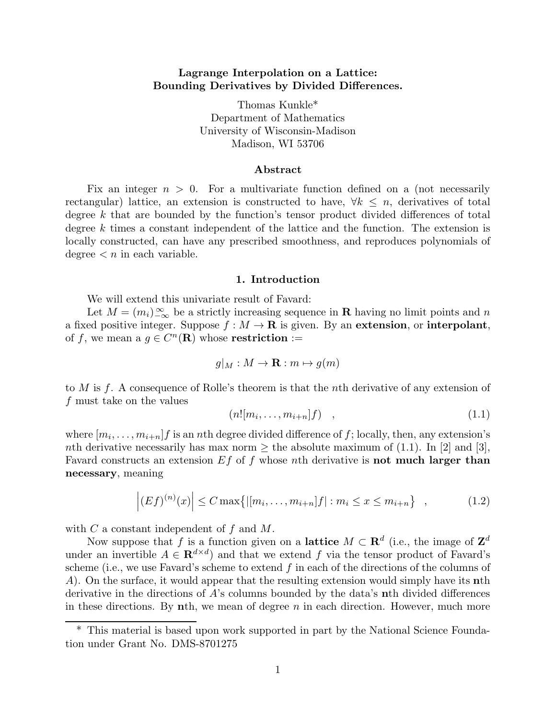### Lagrange Interpolation on a Lattice: Bounding Derivatives by Divided Differences.

Thomas Kunkle\* Department of Mathematics University of Wisconsin-Madison Madison, WI 53706

#### Abstract

Fix an integer  $n > 0$ . For a multivariate function defined on a (not necessarily rectangular) lattice, an extension is constructed to have,  $\forall k \leq n$ , derivatives of total degree k that are bounded by the function's tensor product divided differences of total degree  $k$  times a constant independent of the lattice and the function. The extension is locally constructed, can have any prescribed smoothness, and reproduces polynomials of degree  $\langle n \rangle$  in each variable.

#### 1. Introduction

We will extend this univariate result of Favard:

Let  $M = (m_i)_{-\infty}^{\infty}$  be a strictly increasing sequence in **R** having no limit points and n a fixed positive integer. Suppose  $f : M \to \mathbf{R}$  is given. By an extension, or interpolant, of f, we mean a  $g \in C^n(\mathbf{R})$  whose **restriction** :=

$$
g|_M: M \to \mathbf{R}: m \mapsto g(m)
$$

to  $M$  is  $f$ . A consequence of Rolle's theorem is that the n<sup>th</sup> derivative of any extension of f must take on the values

$$
(n![m_i,\ldots,m_{i+n}]f) \quad , \tag{1.1}
$$

where  $[m_i, \ldots, m_{i+n}]$  *f* is an *n*th degree divided difference of *f*; locally, then, any extension's nth derivative necessarily has max norm  $\geq$  the absolute maximum of (1.1). In [2] and [3], Favard constructs an extension  $Ef$  of f whose nth derivative is not much larger than necessary, meaning

$$
\left| (Ef)^{(n)}(x) \right| \le C \max \{ |[m_i, \dots, m_{i+n}]f| : m_i \le x \le m_{i+n} \}, \qquad (1.2)
$$

with  $C$  a constant independent of  $f$  and  $M$ .

Now suppose that f is a function given on a **lattice**  $M \subset \mathbf{R}^d$  (i.e., the image of  $\mathbf{Z}^d$ under an invertible  $A \in \mathbf{R}^{d \times d}$  and that we extend f via the tensor product of Favard's scheme (i.e., we use Favard's scheme to extend  $f$  in each of the directions of the columns of A). On the surface, it would appear that the resulting extension would simply have its nth derivative in the directions of A's columns bounded by the data's nth divided differences in these directions. By nth, we mean of degree  $n$  in each direction. However, much more

<sup>\*</sup> This material is based upon work supported in part by the National Science Foundation under Grant No. DMS-8701275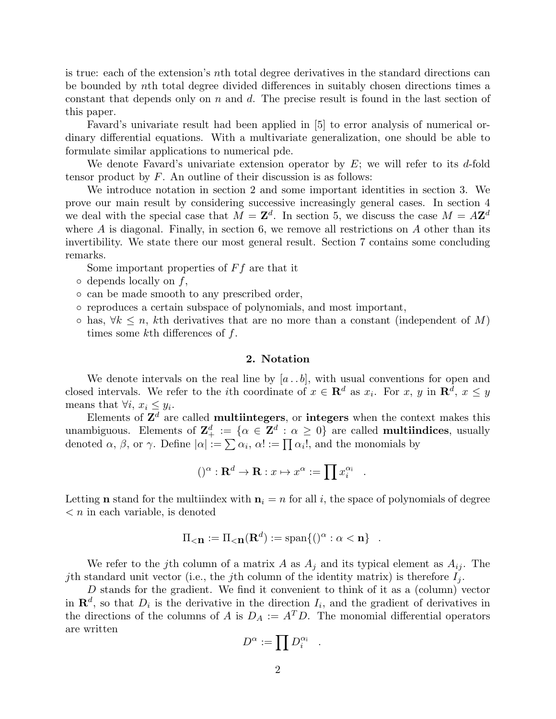is true: each of the extension's nth total degree derivatives in the standard directions can be bounded by nth total degree divided differences in suitably chosen directions times a constant that depends only on n and d. The precise result is found in the last section of this paper.

Favard's univariate result had been applied in [5] to error analysis of numerical ordinary differential equations. With a multivariate generalization, one should be able to formulate similar applications to numerical pde.

We denote Favard's univariate extension operator by  $E$ ; we will refer to its d-fold tensor product by  $F$ . An outline of their discussion is as follows:

We introduce notation in section 2 and some important identities in section 3. We prove our main result by considering successive increasingly general cases. In section 4 we deal with the special case that  $M = \mathbf{Z}^d$ . In section 5, we discuss the case  $M = A\mathbf{Z}^d$ where  $A$  is diagonal. Finally, in section 6, we remove all restrictions on  $A$  other than its invertibility. We state there our most general result. Section 7 contains some concluding remarks.

Some important properties of  $Ff$  are that it

- $\circ$  depends locally on f,
- can be made smooth to any prescribed order,
- reproduces a certain subspace of polynomials, and most important,
- $\circ$  has,  $\forall k \leq n$ , kth derivatives that are no more than a constant (independent of M) times some kth differences of  $f$ .

#### 2. Notation

We denote intervals on the real line by  $[a \cdot b]$ , with usual conventions for open and closed intervals. We refer to the *i*th coordinate of  $x \in \mathbb{R}^d$  as  $x_i$ . For  $x, y$  in  $\mathbb{R}^d$ ,  $x \leq y$ means that  $\forall i, x_i \leq y_i$ .

Elements of  $\mathbf{Z}^d$  are called **multiintegers**, or **integers** when the context makes this unambiguous. Elements of  $\mathbb{Z}_+^d := \{ \alpha \in \mathbb{Z}^d : \alpha \geq 0 \}$  are called **multiindices**, usually denoted  $\alpha$ ,  $\beta$ , or  $\gamma$ . Define  $|\alpha| := \sum \alpha_i$ ,  $\alpha! := \prod \alpha_i!$ , and the monomials by

$$
()^{\alpha} : \mathbf{R}^{d} \to \mathbf{R} : x \mapsto x^{\alpha} := \prod x_i^{\alpha_i}
$$

.

Letting **n** stand for the multiindex with  $n_i = n$  for all i, the space of polynomials of degree  $\langle n \rangle$  in each variable, is denoted

$$
\Pi_{\leq \mathbf{n}} := \Pi_{\leq \mathbf{n}}(\mathbf{R}^d) := \text{span}\{()\alpha : \alpha < \mathbf{n}\} \quad .
$$

We refer to the j<sup>th</sup> column of a matrix A as  $A_j$  and its typical element as  $A_{ij}$ . The jth standard unit vector (i.e., the jth column of the identity matrix) is therefore  $I_j$ .

D stands for the gradient. We find it convenient to think of it as a (column) vector in  $\mathbf{R}^d$ , so that  $D_i$  is the derivative in the direction  $I_i$ , and the gradient of derivatives in the directions of the columns of A is  $D_A := A^T D$ . The monomial differential operators are written

$$
D^\alpha:=\prod D_i^{\alpha_{\mathsf{i}}}
$$

.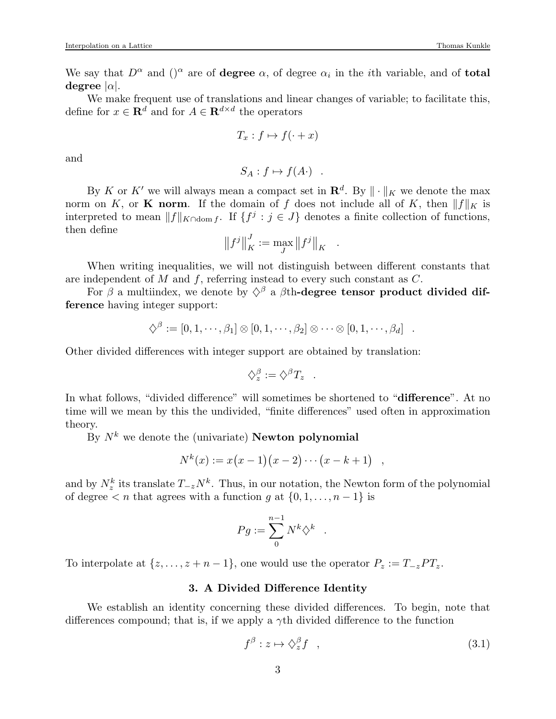We say that  $D^{\alpha}$  and  $($ )<sup> $\alpha$ </sup> are of **degree**  $\alpha$ , of degree  $\alpha_i$  in the *i*th variable, and of **total** degree  $|\alpha|$ .

We make frequent use of translations and linear changes of variable; to facilitate this, define for  $x \in \mathbf{R}^d$  and for  $A \in \mathbf{R}^{d \times d}$  the operators

$$
T_x: f \mapsto f(\cdot + x)
$$

and

$$
S_A: f \mapsto f(A) .
$$

By K or K' we will always mean a compact set in  $\mathbb{R}^d$ . By  $\|\cdot\|_K$  we denote the max norm on K, or K norm. If the domain of f does not include all of K, then  $||f||_K$  is interpreted to mean  $||f||_{K\cap \text{dom }f}$ . If  $\{f^j : j \in J\}$  denotes a finite collection of functions, then define

$$
\left\|f^{j}\right\|^{J}_{K}:=\max_{J}\left\|f^{j}\right\|_{K}
$$

.

When writing inequalities, we will not distinguish between different constants that are independent of  $M$  and  $f$ , referring instead to every such constant as  $C$ .

For  $\beta$  a multiindex, we denote by  $\Diamond^{\beta}$  a  $\beta$ th-degree tensor product divided difference having integer support:

$$
\diamondsuit^{\beta} := [0, 1, \cdots, \beta_1] \otimes [0, 1, \cdots, \beta_2] \otimes \cdots \otimes [0, 1, \cdots, \beta_d].
$$

Other divided differences with integer support are obtained by translation:

$$
\diamondsuit_z^{\beta} := \diamondsuit^{\beta} T_z .
$$

In what follows, "divided difference" will sometimes be shortened to "**difference**". At no time will we mean by this the undivided, "finite differences" used often in approximation theory.

By  $N^k$  we denote the (univariate) **Newton polynomial** 

$$
N^{k}(x) := x(x-1)(x-2)\cdots(x-k+1) ,
$$

and by  $N_z^k$  its translate  $T_{-z}N^k$ . Thus, in our notation, the Newton form of the polynomial of degree  $\langle n \rangle$  that agrees with a function g at  $\{0, 1, \ldots, n-1\}$  is

$$
Pg:=\sum_0^{n-1}N^k\Diamond^k
$$

.

To interpolate at  $\{z, \ldots, z+n-1\}$ , one would use the operator  $P_z := T_{-z}PT_z$ .

### 3. A Divided Difference Identity

We establish an identity concerning these divided differences. To begin, note that differences compound; that is, if we apply a  $\gamma$ th divided difference to the function

$$
f^{\beta}: z \mapsto \diamondsuit_z^{\beta} f \quad , \tag{3.1}
$$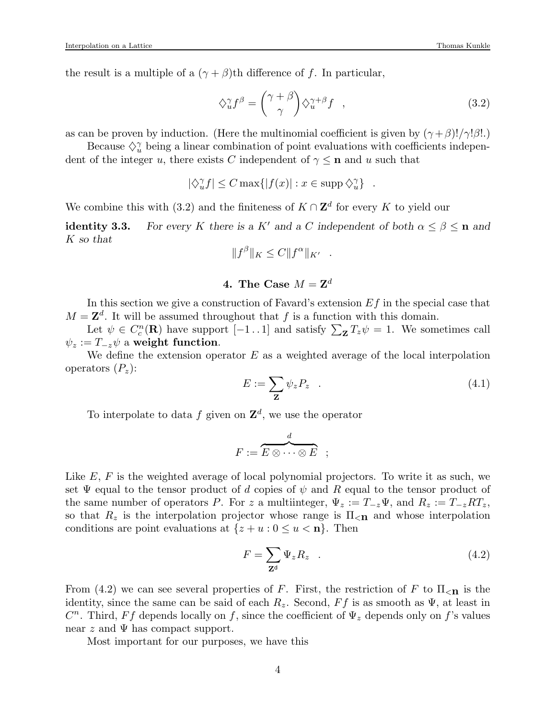the result is a multiple of a  $(\gamma + \beta)$ th difference of f. In particular,

$$
\diamondsuit_u^{\gamma} f^{\beta} = \begin{pmatrix} \gamma + \beta \\ \gamma \end{pmatrix} \diamondsuit_u^{\gamma + \beta} f \quad , \tag{3.2}
$$

as can be proven by induction. (Here the multinomial coefficient is given by  $(\gamma + \beta)!/\gamma!\beta!$ .)

Because  $\Diamond$ <sup>γ</sup> being a linear combination of point evaluations with coefficients independent of the integer u, there exists C independent of  $\gamma \leq n$  and u such that

$$
|\diamondsuit_u^{\gamma} f| \le C \max\{|f(x)| : x \in \mathrm{supp} \diamondsuit_u^{\gamma}\} .
$$

We combine this with (3.2) and the finiteness of  $K \cap \mathbb{Z}^d$  for every K to yield our

identity 3.3. For every K there is a K' and a C independent of both  $\alpha \leq \beta \leq n$  and K so that

$$
||f^{\beta}||_K \leq C||f^{\alpha}||_{K'}.
$$

# 4. The Case  $M = \mathbf{Z}^d$

In this section we give a construction of Favard's extension  $Ef$  in the special case that  $M = \mathbb{Z}^d$ . It will be assumed throughout that f is a function with this domain.

Let  $\psi \in C_c^n(\mathbf{R})$  have support  $[-1 \dots 1]$  and satisfy  $\sum_{\mathbf{Z}} T_z \psi = 1$ . We sometimes call  $\psi_z := T_{-z}\psi$  a weight function.

We define the extension operator  $E$  as a weighted average of the local interpolation operators  $(P_z)$ :

$$
E := \sum_{\mathbf{Z}} \psi_z P_z \quad . \tag{4.1}
$$

To interpolate to data f given on  $\mathbf{Z}^d$ , we use the operator

$$
F := \overbrace{E \otimes \cdots \otimes E}^d \quad ;
$$

Like  $E, F$  is the weighted average of local polynomial projectors. To write it as such, we set  $\Psi$  equal to the tensor product of d copies of  $\psi$  and R equal to the tensor product of the same number of operators P. For z a multiinteger,  $\Psi_z := T_{-z} \Psi$ , and  $R_z := T_{-z} R T_z$ , so that  $R_z$  is the interpolation projector whose range is  $\Pi_{\leq n}$  and whose interpolation conditions are point evaluations at  $\{z + u : 0 \le u < n\}$ . Then

$$
F = \sum_{\mathbf{Z}^{\mathbf{d}}} \Psi_z R_z \quad . \tag{4.2}
$$

From (4.2) we can see several properties of F. First, the restriction of F to  $\Pi_{\leq n}$  is the identity, since the same can be said of each  $R_z$ . Second,  $Ff$  is as smooth as  $\Psi$ , at least in  $C<sup>n</sup>$ . Third, Ff depends locally on f, since the coefficient of  $\Psi_z$  depends only on f's values near z and  $\Psi$  has compact support.

Most important for our purposes, we have this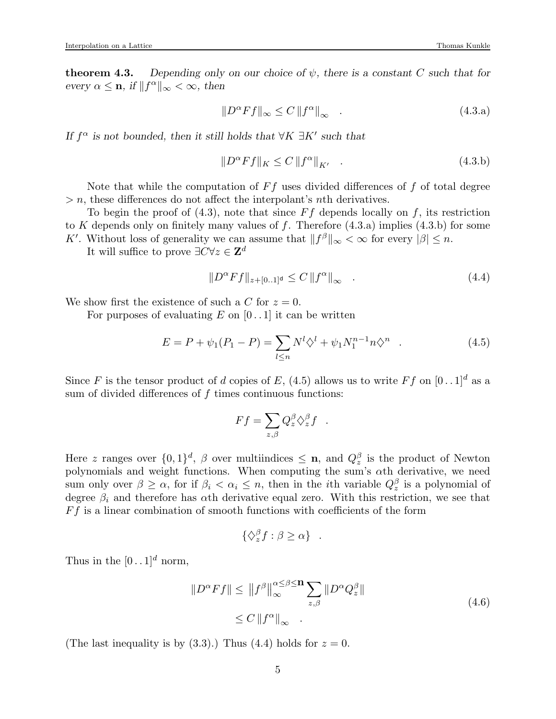**theorem 4.3.** Depending only on our choice of  $\psi$ , there is a constant C such that for every  $\alpha \leq \mathbf{n}$ , if  $||f^{\alpha}||_{\infty} < \infty$ , then

$$
||D^{\alpha}Ff||_{\infty} \le C ||f^{\alpha}||_{\infty} \quad . \tag{4.3.a}
$$

If  $f^{\alpha}$  is not bounded, then it still holds that  $\forall K \exists K'$  such that

$$
||D^{\alpha}Ff||_{K} \le C ||f^{\alpha}||_{K'} \quad . \tag{4.3.b}
$$

Note that while the computation of  $Ff$  uses divided differences of  $f$  of total degree  $> n$ , these differences do not affect the interpolant's *n*th derivatives.

To begin the proof of  $(4.3)$ , note that since  $F f$  depends locally on f, its restriction to K depends only on finitely many values of f. Therefore  $(4.3.a)$  implies  $(4.3.b)$  for some K'. Without loss of generality we can assume that  $||f^{\beta}||_{\infty} < \infty$  for every  $|\beta| \leq n$ .

It will suffice to prove  $\exists C \forall z \in \mathbf{Z}^d$ 

$$
||D^{\alpha}Ff||_{z+[0..1]^d} \le C ||f^{\alpha}||_{\infty} \quad . \tag{4.4}
$$

We show first the existence of such a C for  $z = 0$ .

For purposes of evaluating  $E$  on  $[0 \, . \, 1]$  it can be written

$$
E = P + \psi_1(P_1 - P) = \sum_{l \le n} N^l \diamondsuit^l + \psi_1 N_1^{n-1} n \diamondsuit^n \quad . \tag{4.5}
$$

Since F is the tensor product of d copies of E, (4.5) allows us to write Ff on  $[0 \tcdot 1]^d$  as a sum of divided differences of  $f$  times continuous functions:

$$
Ff = \sum_{z,\beta} Q_z^{\beta} \diamondsuit_z^{\beta} f .
$$

Here z ranges over  $\{0,1\}^d$ ,  $\beta$  over multiindices  $\leq$  **n**, and  $Q_z^{\beta}$  is the product of Newton polynomials and weight functions. When computing the sum's αth derivative, we need sum only over  $\beta \geq \alpha$ , for if  $\beta_i < \alpha_i \leq n$ , then in the *i*th variable  $Q_z^{\beta}$  is a polynomial of degree  $\beta_i$  and therefore has  $\alpha$ th derivative equal zero. With this restriction, we see that  $F f$  is a linear combination of smooth functions with coefficients of the form

$$
\{\diamondsuit_z^{\beta} f : \beta \ge \alpha\} .
$$

Thus in the  $[0 \, . \, 1]^d$  norm,

$$
||D^{\alpha}Ff|| \le ||f^{\beta}||_{\infty}^{\alpha \le \beta \le n} \sum_{z,\beta} ||D^{\alpha}Q_{z}^{\beta}||
$$
  
\n
$$
\le C ||f^{\alpha}||_{\infty}.
$$
\n(4.6)

(The last inequality is by  $(3.3)$ .) Thus  $(4.4)$  holds for  $z = 0$ .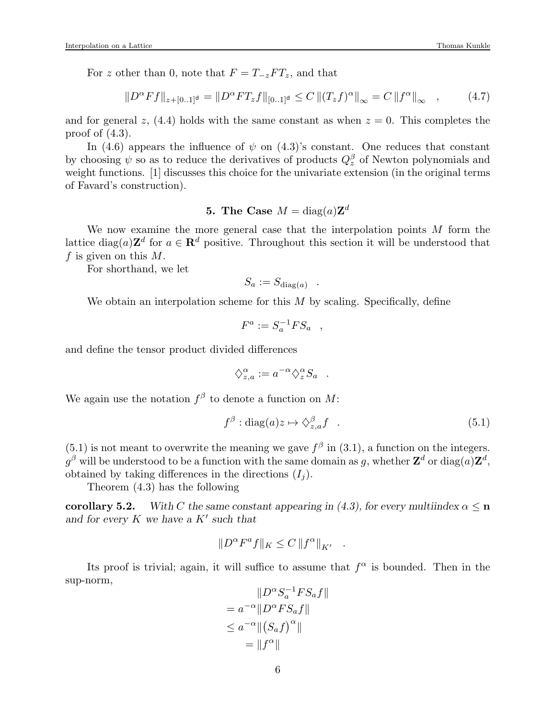For z other than 0, note that  $F = T_{-z}FT_z$ , and that

$$
||D^{\alpha}Ff||_{z+[0..1]^d} = ||D^{\alpha}FT_zf||_{[0..1]^d} \leq C ||(T_zf)^{\alpha}||_{\infty} = C ||f^{\alpha}||_{\infty} , \qquad (4.7)
$$

and for general z,  $(4.4)$  holds with the same constant as when  $z = 0$ . This completes the proof of  $(4.3)$ .

In (4.6) appears the influence of  $\psi$  on (4.3)'s constant. One reduces that constant by choosing  $\psi$  so as to reduce the derivatives of products  $Q_z^{\beta}$  of Newton polynomials and weight functions. [1] discusses this choice for the univariate extension (in the original terms of Favard's construction).

# **5.** The Case  $M = \text{diag}(a)\mathbf{Z}^d$

We now examine the more general case that the interpolation points  $M$  form the lattice  $\text{diag}(a)\mathbf{Z}^d$  for  $a \in \mathbf{R}^d$  positive. Throughout this section it will be understood that f is given on this  $M$ .

For shorthand, we let

$$
S_a := S_{\text{diag}(a)} .
$$

We obtain an interpolation scheme for this  $M$  by scaling. Specifically, define

$$
F^a := S_a^{-1} F S_a \quad ,
$$

and define the tensor product divided differences

$$
\diamondsuit_{z,a}^{\alpha} := a^{-\alpha} \diamondsuit_z^{\alpha} S_a .
$$

We again use the notation  $f^{\beta}$  to denote a function on M:

$$
f^{\beta}: \text{diag}(a)z \mapsto \diamondsuit_{z,a}^{\beta} f \quad . \tag{5.1}
$$

 $(5.1)$  is not meant to overwrite the meaning we gave  $f^{\beta}$  in  $(3.1)$ , a function on the integers.  $g^{\beta}$  will be understood to be a function with the same domain as  $g,$  whether  $\mathbf{Z}^{d}$  or  $\text{diag}(a)\mathbf{Z}^{d},$ obtained by taking differences in the directions  $(I_i)$ .

Theorem (4.3) has the following

corollary 5.2. With C the same constant appearing in (4.3), for every multiindex  $\alpha \leq n$ and for every  $K$  we have a  $K'$  such that

$$
||D^{\alpha}F^a f||_K \leq C ||f^{\alpha}||_{K'}.
$$

Its proof is trivial; again, it will suffice to assume that  $f^{\alpha}$  is bounded. Then in the sup-norm,

$$
||D^{\alpha} S_a^{-1} F S_a f||
$$
  
=  $a^{-\alpha} ||D^{\alpha} F S_a f||$   
 $\leq a^{-\alpha} ||(S_a f)^{\alpha}||$   
=  $||f^{\alpha}||$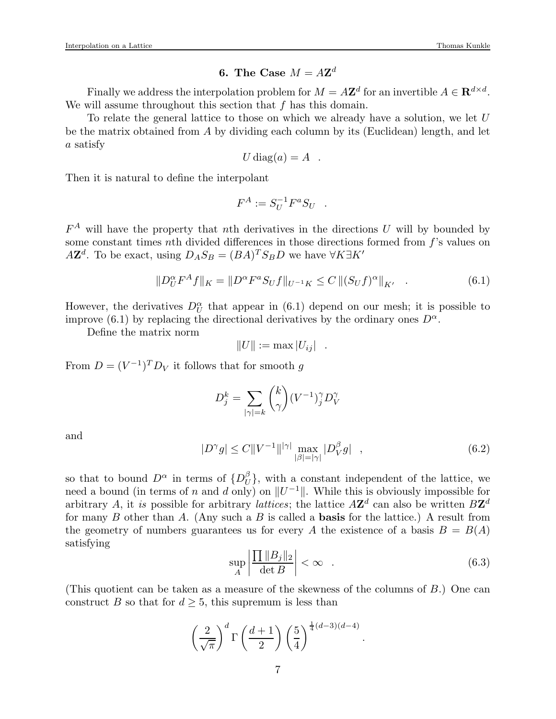# 6. The Case  $M = A\mathbf{Z}^d$

Finally we address the interpolation problem for  $M = A\mathbb{Z}^d$  for an invertible  $A \in \mathbb{R}^{d \times d}$ . We will assume throughout this section that  $f$  has this domain.

To relate the general lattice to those on which we already have a solution, we let U be the matrix obtained from A by dividing each column by its (Euclidean) length, and let a satisfy

$$
U \operatorname{diag}(a) = A .
$$

Then it is natural to define the interpolant

$$
F^A := S_U^{-1} F^a S_U .
$$

 $F^A$  will have the property that nth derivatives in the directions U will by bounded by some constant times nth divided differences in those directions formed from  $f$ 's values on  $A\mathbf{Z}^d$ . To be exact, using  $D_A S_B = (BA)^T S_B D$  we have  $\forall K \exists K'$ 

$$
||D_{U}^{\alpha}F^{A}f||_{K} = ||D^{\alpha}F^{\alpha}S_{U}f||_{U^{-1}K} \leq C ||(S_{U}f)^{\alpha}||_{K'} \quad . \tag{6.1}
$$

However, the derivatives  $D_U^{\alpha}$  that appear in (6.1) depend on our mesh; it is possible to improve (6.1) by replacing the directional derivatives by the ordinary ones  $D^{\alpha}$ .

Define the matrix norm

$$
||U|| := \max |U_{ij}| .
$$

From  $D = (V^{-1})^T D_V$  it follows that for smooth g

$$
D_j^k = \sum_{|\gamma|=k} \binom{k}{\gamma} (V^{-1})_j^{\gamma} D_V^{\gamma}
$$

and

$$
|D^{\gamma}g| \le C \|V^{-1}\|^{|\gamma|} \max_{|\beta|=|\gamma|} |D^{\beta}_{V}g| \quad , \tag{6.2}
$$

so that to bound  $D^{\alpha}$  in terms of  $\{D^{\beta}_{U}$  $\{U}_{U}^{\rho}$ , with a constant independent of the lattice, we need a bound (in terms of n and d only) on  $||U^{-1}||$ . While this is obviously impossible for arbitrary A, it is possible for arbitrary *lattices*; the lattice  $A\mathbf{Z}^d$  can also be written  $B\mathbf{Z}^d$ for many B other than A. (Any such a B is called a **basis** for the lattice.) A result from the geometry of numbers guarantees us for every A the existence of a basis  $B = B(A)$ satisfying

$$
\sup_{A} \left| \frac{\prod ||B_j||_2}{\det B} \right| < \infty \quad . \tag{6.3}
$$

.

(This quotient can be taken as a measure of the skewness of the columns of B.) One can construct B so that for  $d \geq 5$ , this supremum is less than

$$
\left(\frac{2}{\sqrt{\pi}}\right)^d \Gamma\left(\frac{d+1}{2}\right) \left(\frac{5}{4}\right)^{\frac{1}{4}(d-3)(d-4)}
$$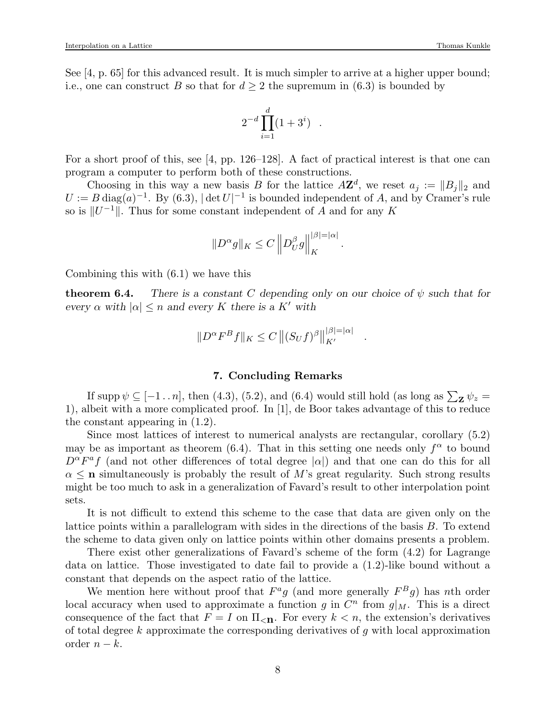See [4, p. 65] for this advanced result. It is much simpler to arrive at a higher upper bound; i.e., one can construct B so that for  $d \geq 2$  the supremum in (6.3) is bounded by

$$
2^{-d}\prod_{i=1}^d(1+3^i) \ .
$$

For a short proof of this, see [4, pp. 126–128]. A fact of practical interest is that one can program a computer to perform both of these constructions.

Choosing in this way a new basis B for the lattice  $A\mathbf{Z}^d$ , we reset  $a_j := ||B_j||_2$  and  $U := B \text{ diag}(a)^{-1}$ . By (6.3),  $|\det U|^{-1}$  is bounded independent of A, and by Cramer's rule so is  $||U^{-1}||$ . Thus for some constant independent of A and for any K

$$
||D^{\alpha}g||_K \leq C ||D^{\beta}_U g||_K^{|\beta| = |\alpha|}
$$

.

.

Combining this with (6.1) we have this

**theorem 6.4.** There is a constant C depending only on our choice of  $\psi$  such that for every  $\alpha$  with  $|\alpha| \leq n$  and every K there is a K' with

$$
||D^{\alpha}F^{B}f||_{K} \leq C ||(S_{U}f)^{\beta}||_{K'}^{|\beta|=|\alpha|}
$$

### 7. Concluding Remarks

If supp  $\psi \subseteq [-1 \dots n]$ , then (4.3), (5.2), and (6.4) would still hold (as long as  $\sum_{\mathbf{Z}} \psi_z =$ 1), albeit with a more complicated proof. In [1], de Boor takes advantage of this to reduce the constant appearing in (1.2).

Since most lattices of interest to numerical analysts are rectangular, corollary (5.2) may be as important as theorem (6.4). That in this setting one needs only  $f^{\alpha}$  to bound  $D^{\alpha}F^{\alpha}f$  (and not other differences of total degree  $|\alpha|$ ) and that one can do this for all  $\alpha \leq n$  simultaneously is probably the result of M's great regularity. Such strong results might be too much to ask in a generalization of Favard's result to other interpolation point sets.

It is not difficult to extend this scheme to the case that data are given only on the lattice points within a parallelogram with sides in the directions of the basis B. To extend the scheme to data given only on lattice points within other domains presents a problem.

There exist other generalizations of Favard's scheme of the form (4.2) for Lagrange data on lattice. Those investigated to date fail to provide a (1.2)-like bound without a constant that depends on the aspect ratio of the lattice.

We mention here without proof that  $F^a g$  (and more generally  $F^B g$ ) has nth order local accuracy when used to approximate a function g in  $C<sup>n</sup>$  from  $g|_M$ . This is a direct consequence of the fact that  $F = I$  on  $\Pi_{\leq \mathbf{n}}$ . For every  $k \leq n$ , the extension's derivatives of total degree  $k$  approximate the corresponding derivatives of  $g$  with local approximation order  $n - k$ .